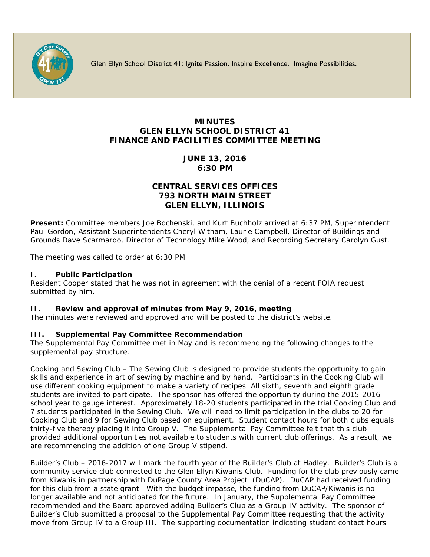

Glen Ellyn School District 41: Ignite Passion. Inspire Excellence. Imagine Possibilities.

# **MINUTES GLEN ELLYN SCHOOL DISTRICT 41 FINANCE AND FACILITIES COMMITTEE MEETING**

**JUNE 13, 2016 6:30 PM**

# **CENTRAL SERVICES OFFICES 793 NORTH MAIN STREET GLEN ELLYN, ILLINOIS**

**Present:** Committee members Joe Bochenski, and Kurt Buchholz arrived at 6:37 PM, Superintendent Paul Gordon, Assistant Superintendents Cheryl Witham, Laurie Campbell, Director of Buildings and Grounds Dave Scarmardo, Director of Technology Mike Wood, and Recording Secretary Carolyn Gust.

The meeting was called to order at 6:30 PM

## **I. Public Participation**

Resident Cooper stated that he was not in agreement with the denial of a recent FOIA request submitted by him.

#### **II. Review and approval of minutes from May 9, 2016, meeting**

The minutes were reviewed and approved and will be posted to the district's website.

# **III. Supplemental Pay Committee Recommendation**

The Supplemental Pay Committee met in May and is recommending the following changes to the supplemental pay structure.

Cooking and Sewing Club – The Sewing Club is designed to provide students the opportunity to gain skills and experience in art of sewing by machine and by hand. Participants in the Cooking Club will use different cooking equipment to make a variety of recipes. All sixth, seventh and eighth grade students are invited to participate. The sponsor has offered the opportunity during the 2015-2016 school year to gauge interest. Approximately 18-20 students participated in the trial Cooking Club and 7 students participated in the Sewing Club. We will need to limit participation in the clubs to 20 for Cooking Club and 9 for Sewing Club based on equipment. Student contact hours for both clubs equals thirty-five thereby placing it into Group V. The Supplemental Pay Committee felt that this club provided additional opportunities not available to students with current club offerings. As a result, we are recommending the addition of one Group V stipend.

Builder's Club – 2016-2017 will mark the fourth year of the Builder's Club at Hadley. Builder's Club is a community service club connected to the Glen Ellyn Kiwanis Club. Funding for the club previously came from Kiwanis in partnership with DuPage County Area Project (DuCAP). DuCAP had received funding for this club from a state grant. With the budget impasse, the funding from DuCAP/Kiwanis is no longer available and not anticipated for the future. In January, the Supplemental Pay Committee recommended and the Board approved adding Builder's Club as a Group IV activity. The sponsor of Builder's Club submitted a proposal to the Supplemental Pay Committee requesting that the activity move from Group IV to a Group III. The supporting documentation indicating student contact hours